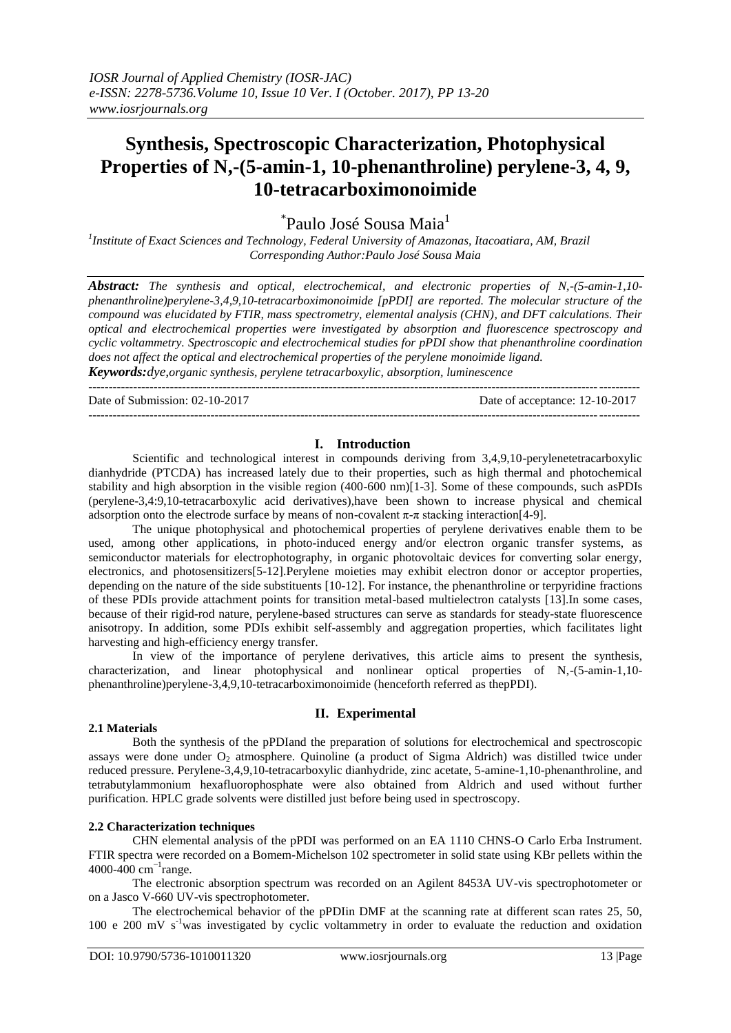# **Synthesis, Spectroscopic Characterization, Photophysical Properties of N,-(5-amin-1, 10-phenanthroline) perylene-3, 4, 9, 10-tetracarboximonoimide**

\*Paulo José Sousa Maia<sup>1</sup>

*1 Institute of Exact Sciences and Technology, Federal University of Amazonas, Itacoatiara, AM, Brazil Corresponding Author:Paulo José Sousa Maia*

*Abstract: The synthesis and optical, electrochemical, and electronic properties of N,-(5-amin-1,10 phenanthroline)perylene-3,4,9,10-tetracarboximonoimide [pPDI] are reported. The molecular structure of the compound was elucidated by FTIR, mass spectrometry, elemental analysis (CHN), and DFT calculations. Their optical and electrochemical properties were investigated by absorption and fluorescence spectroscopy and cyclic voltammetry. Spectroscopic and electrochemical studies for pPDI show that phenanthroline coordination does not affect the optical and electrochemical properties of the perylene monoimide ligand.*

*Keywords:dye,organic synthesis, perylene tetracarboxylic, absorption, luminescence*

---------------------------------------------------------------------------------------------------------------------------------------

Date of acceptance: 12-10-2017

---------------------------------------------------------------------------------------------------------------------------------------

#### **I. Introduction**

Scientific and technological interest in compounds deriving from 3,4,9,10-perylenetetracarboxylic dianhydride (PTCDA) has increased lately due to their properties, such as high thermal and photochemical stability and high absorption in the visible region (400-600 nm)[1-3]. Some of these compounds, such asPDIs (perylene-3,4:9,10-tetracarboxylic acid derivatives),have been shown to increase physical and chemical adsorption onto the electrode surface by means of non-covalent  $\pi$ - $\pi$  stacking interaction[4-9].

The unique photophysical and photochemical properties of perylene derivatives enable them to be used, among other applications, in photo-induced energy and/or electron organic transfer systems, as semiconductor materials for electrophotography, in organic photovoltaic devices for converting solar energy, electronics, and photosensitizers[5-12].Perylene moieties may exhibit electron donor or acceptor properties, depending on the nature of the side substituents [10-12]. For instance, the phenanthroline or terpyridine fractions of these PDIs provide attachment points for transition metal-based multielectron catalysts [13].In some cases, because of their rigid-rod nature, perylene-based structures can serve as standards for steady-state fluorescence anisotropy. In addition, some PDIs exhibit self-assembly and aggregation properties, which facilitates light harvesting and high-efficiency energy transfer.

In view of the importance of perylene derivatives, this article aims to present the synthesis, characterization, and linear photophysical and nonlinear optical properties of N,-(5-amin-1,10 phenanthroline)perylene-3,4,9,10-tetracarboximonoimide (henceforth referred as thepPDI).

# **II. Experimental**

#### **2.1 Materials**

Both the synthesis of the pPDIand the preparation of solutions for electrochemical and spectroscopic assays were done under O<sub>2</sub> atmosphere. Quinoline (a product of Sigma Aldrich) was distilled twice under reduced pressure. Perylene-3,4,9,10-tetracarboxylic dianhydride, zinc acetate, 5-amine-1,10-phenanthroline, and tetrabutylammonium hexafluorophosphate were also obtained from Aldrich and used without further purification. HPLC grade solvents were distilled just before being used in spectroscopy.

## **2.2 Characterization techniques**

CHN elemental analysis of the pPDI was performed on an EA 1110 CHNS-O Carlo Erba Instrument. FTIR spectra were recorded on a Bomem-Michelson 102 spectrometer in solid state using KBr pellets within the 4000-400 cm−1 range.

The electronic absorption spectrum was recorded on an Agilent 8453A UV-vis spectrophotometer or on a Jasco V-660 UV-vis spectrophotometer.

The electrochemical behavior of the pPDIin DMF at the scanning rate at different scan rates 25, 50, 100 e 200 mV s-1was investigated by cyclic voltammetry in order to evaluate the reduction and oxidation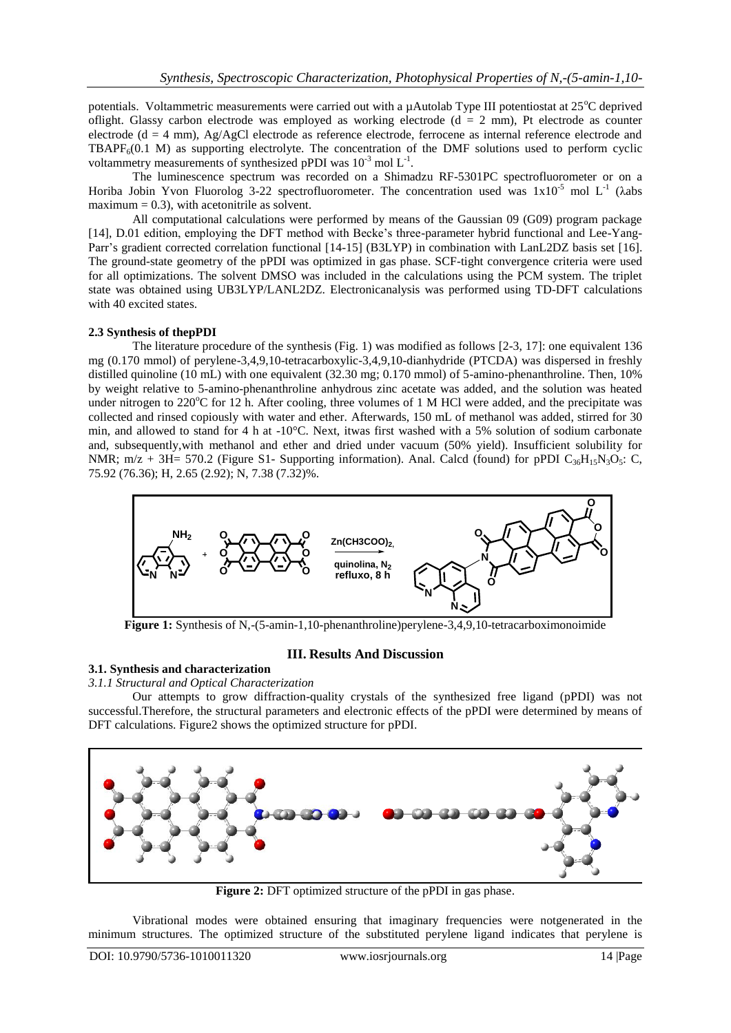potentials. Voltammetric measurements were carried out with a  $\mu$ Autolab Type III potentiostat at 25<sup>o</sup>C deprived oflight. Glassy carbon electrode was employed as working electrode ( $d = 2$  mm), Pt electrode as counter electrode (d = 4 mm), Ag/AgCl electrode as reference electrode, ferrocene as internal reference electrode and TBAPF $_6(0.1 \text{ M})$  as supporting electrolyte. The concentration of the DMF solutions used to perform cyclic voltammetry measurements of synthesized pPDI was  $10^{-3}$  mol  $L^{-1}$ .

The luminescence spectrum was recorded on a Shimadzu RF-5301PC spectrofluorometer or on a Horiba Jobin Yvon Fluorolog 3-22 spectrofluorometer. The concentration used was  $1x10^{-5}$  mol L<sup>-1</sup> ( $\lambda$ abs maximum  $= 0.3$ ), with acetonitrile as solvent.

All computational calculations were performed by means of the Gaussian 09 (G09) program package [14], D.01 edition, employing the DFT method with Becke's three-parameter hybrid functional and Lee-Yang-Parr's gradient corrected correlation functional [14-15] (B3LYP) in combination with LanL2DZ basis set [16]. The ground-state geometry of the pPDI was optimized in gas phase. SCF-tight convergence criteria were used for all optimizations. The solvent DMSO was included in the calculations using the PCM system. The triplet state was obtained using UB3LYP/LANL2DZ. Electronicanalysis was performed using TD-DFT calculations with 40 excited states.

## **2.3 Synthesis of thepPDI**

The literature procedure of the synthesis (Fig. 1) was modified as follows [2-3, 17]: one equivalent 136 mg (0.170 mmol) of perylene-3,4,9,10-tetracarboxylic-3,4,9,10-dianhydride (PTCDA) was dispersed in freshly distilled quinoline (10 mL) with one equivalent (32.30 mg; 0.170 mmol) of 5-amino-phenanthroline. Then, 10% by weight relative to 5-amino-phenanthroline anhydrous zinc acetate was added, and the solution was heated under nitrogen to 220 $\degree$ C for 12 h. After cooling, three volumes of 1 M HCl were added, and the precipitate was collected and rinsed copiously with water and ether. Afterwards, 150 mL of methanol was added, stirred for 30 min, and allowed to stand for 4 h at -10°C. Next, itwas first washed with a 5% solution of sodium carbonate and, subsequently,with methanol and ether and dried under vacuum (50% yield). Insufficient solubility for NMR; m/z + 3H= 570.2 (Figure S1- Supporting information). Anal. Calcd (found) for pPDI  $C_{36}H_{15}N_3O_5$ : C, 75.92 (76.36); H, 2.65 (2.92); N, 7.38 (7.32)%.



**Figure 1:** Synthesis of N,-(5-amin-1,10-phenanthroline)perylene-3,4,9,10-tetracarboximonoimide

#### **III. Results And Discussion**

# **3.1. Synthesis and characterization**

#### *3.1.1 Structural and Optical Characterization*

Our attempts to grow diffraction-quality crystals of the synthesized free ligand (pPDI) was not successful.Therefore, the structural parameters and electronic effects of the pPDI were determined by means of DFT calculations. Figure2 shows the optimized structure for pPDI.



**Figure 2:** DFT optimized structure of the pPDI in gas phase.

Vibrational modes were obtained ensuring that imaginary frequencies were notgenerated in the minimum structures. The optimized structure of the substituted perylene ligand indicates that perylene is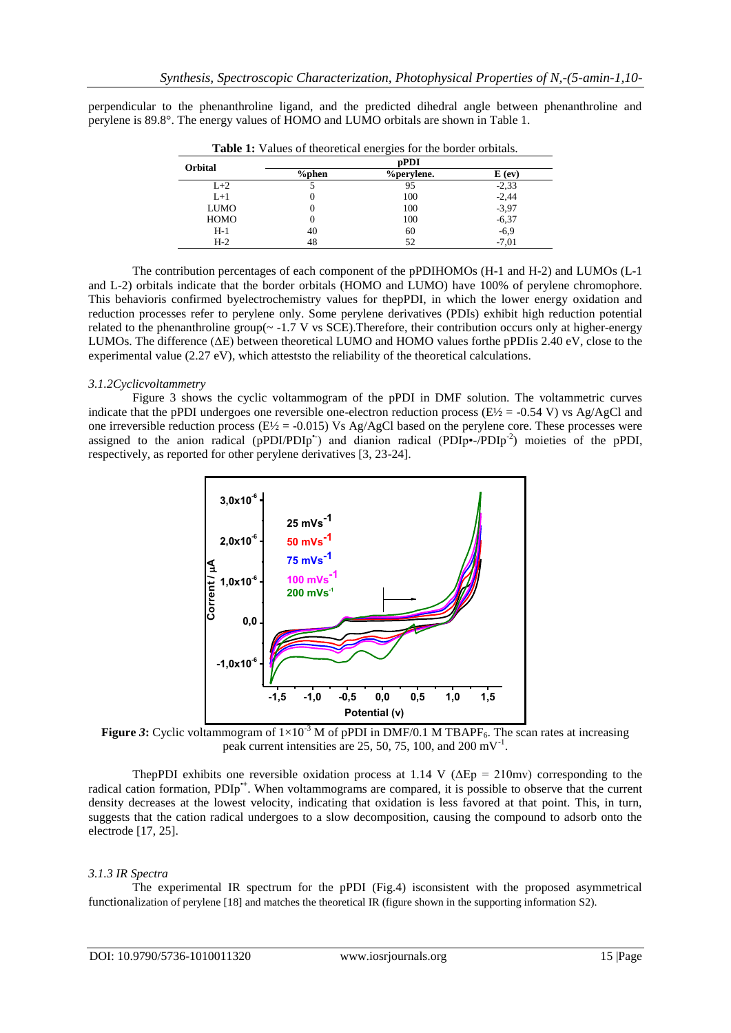perpendicular to the phenanthroline ligand, and the predicted dihedral angle between phenanthroline and perylene is 89.8°. The energy values of HOMO and LUMO orbitals are shown in Table 1.

| <b>Orbital</b> | pPDI     |                   |          |  |  |
|----------------|----------|-------------------|----------|--|--|
|                | $%$ phen | <i>%perylene.</i> | $E$ (ev) |  |  |
| $L+2$          |          | 95                | $-2,33$  |  |  |
| $L+1$          |          | 100               | $-2,44$  |  |  |
| <b>LUMO</b>    |          | 100               | $-3.97$  |  |  |
| <b>HOMO</b>    |          | 100               | $-6,37$  |  |  |
| $H-1$          | 40       | 60                | $-6,9$   |  |  |
| $H-2$          | 48       | 52                | $-7,01$  |  |  |

**Table 1:** Values of theoretical energies for the border orbitals.

The contribution percentages of each component of the pPDIHOMOs (H-1 and H-2) and LUMOs (L-1 and L-2) orbitals indicate that the border orbitals (HOMO and LUMO) have 100% of perylene chromophore. This behavioris confirmed byelectrochemistry values for thepPDI, in which the lower energy oxidation and reduction processes refer to perylene only. Some perylene derivatives (PDIs) exhibit high reduction potential related to the phenanthroline group( $\sim$  -1.7 V vs SCE). Therefore, their contribution occurs only at higher-energy LUMOs. The difference (ΔE) between theoretical LUMO and HOMO values forthe pPDIis 2.40 eV, close to the experimental value (2.27 eV), which atteststo the reliability of the theoretical calculations.

#### *3.1.2Cyclicvoltammetry*

Figure 3 shows the cyclic voltammogram of the pPDI in DMF solution. The voltammetric curves indicate that the pPDI undergoes one reversible one-electron reduction process ( $E\frac{1}{2} = -0.54$  V) vs Ag/AgCl and one irreversible reduction process ( $E\frac{1}{2}$  = -0.015) Vs Ag/AgCl based on the perylene core. These processes were assigned to the anion radical (pPDI/PDIp<sup>+</sup>) and dianion radical (PDIp•-/PDIp<sup>-2</sup>) moieties of the pPDI, respectively, as reported for other perylene derivatives [3, 23-24].



**Figure 3:** Cyclic voltammogram of  $1 \times 10^{-3}$  M of pPDI in DMF/0.1 M TBAPF<sub>6</sub>. The scan rates at increasing peak current intensities are 25, 50, 75, 100, and 200 mV<sup>-1</sup>.

ThepPDI exhibits one reversible oxidation process at 1.14 V ( $\Delta Ep = 210$ mv) corresponding to the radical cation formation, PDIp<sup>+</sup>. When voltammograms are compared, it is possible to observe that the current density decreases at the lowest velocity, indicating that oxidation is less favored at that point. This, in turn, suggests that the cation radical undergoes to a slow decomposition, causing the compound to adsorb onto the electrode [17, 25].

#### *3.1.3 IR Spectra*

The experimental IR spectrum for the pPDI (Fig.4) isconsistent with the proposed asymmetrical functionalization of perylene [18] and matches the theoretical IR (figure shown in the supporting information S2).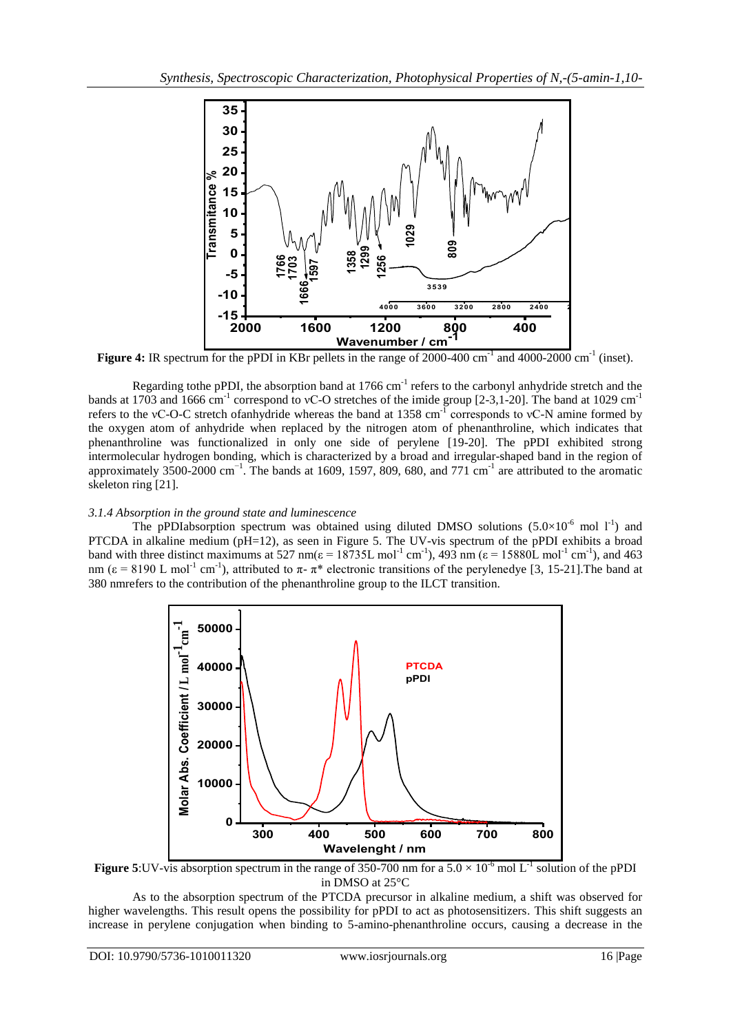

**Figure 4:** IR spectrum for the pPDI in KBr pellets in the range of 2000-400 cm<sup>-1</sup> and 4000-2000 cm<sup>-1</sup> (inset).

Regarding tothe pPDI, the absorption band at  $1766 \text{ cm}^{-1}$  refers to the carbonyl anhydride stretch and the bands at 1703 and 1666 cm<sup>-1</sup> correspond to vC-O stretches of the imide group [2-3,1-20]. The band at 1029 cm<sup>-1</sup> refers to the vC-O-C stretch of anhydride whereas the band at  $1358 \text{ cm}^{-1}$  corresponds to vC-N amine formed by the oxygen atom of anhydride when replaced by the nitrogen atom of phenanthroline, which indicates that phenanthroline was functionalized in only one side of perylene [19-20]. The pPDI exhibited strong intermolecular hydrogen bonding, which is characterized by a broad and irregular-shaped band in the region of approximately 3500-2000 cm<sup>-1</sup>. The bands at 1609, 1597, 809, 680, and 771 cm<sup>-1</sup> are attributed to the aromatic skeleton ring [21].

# *3.1.4 Absorption in the ground state and luminescence*

The pPDIabsorption spectrum was obtained using diluted DMSO solutions  $(5.0\times10^{-6}$  mol  $1^{-1})$  and PTCDA in alkaline medium (pH=12), as seen in Figure 5. The UV-vis spectrum of the pPDI exhibits a broad band with three distinct maximums at 527 nm( $\varepsilon = 18735$ L mol<sup>-1</sup> cm<sup>-1</sup>), 493 nm ( $\varepsilon = 15880$ L mol<sup>-1</sup> cm<sup>-1</sup>), and 463 nm ( $\epsilon$  = 8190 L mol<sup>-1</sup> cm<sup>-1</sup>), attributed to  $\pi$ -  $\pi$ <sup>\*</sup> electronic transitions of the perylenedye [3, 15-21]. The band at 380 nmrefers to the contribution of the phenanthroline group to the ILCT transition.



**Figure 5:**UV-vis absorption spectrum in the range of 350-700 nm for a  $5.0 \times 10^{-6}$  mol L<sup>-1</sup> solution of the pPDI in DMSO at 25°C

As to the absorption spectrum of the PTCDA precursor in alkaline medium, a shift was observed for higher wavelengths. This result opens the possibility for pPDI to act as photosensitizers. This shift suggests an increase in perylene conjugation when binding to 5-amino-phenanthroline occurs, causing a decrease in the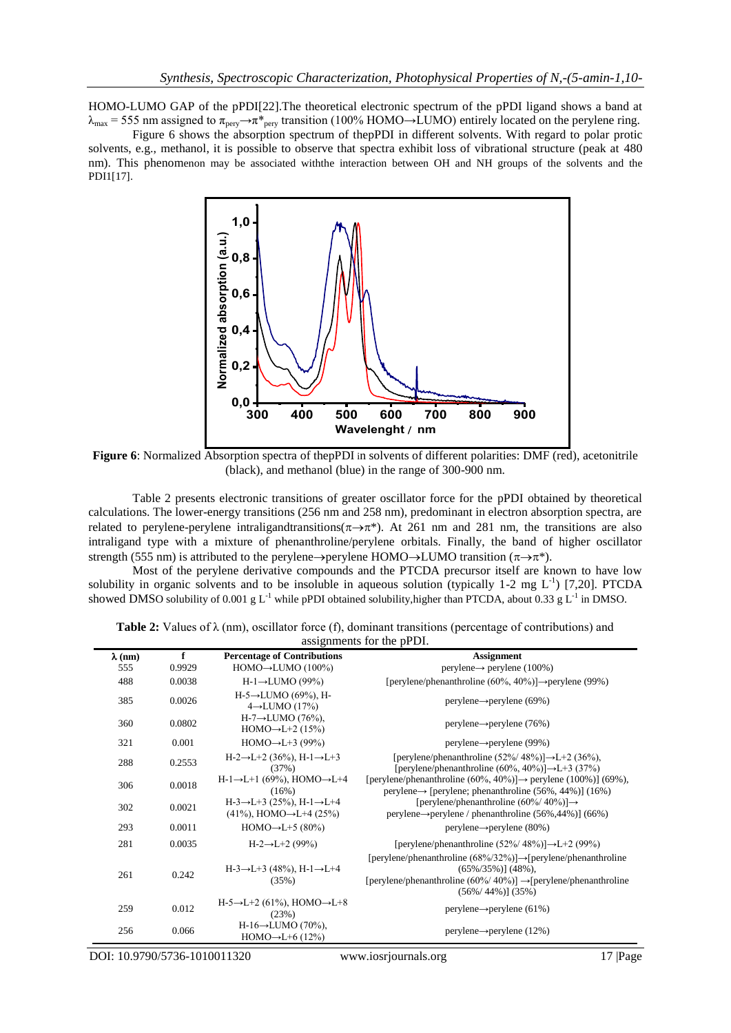HOMO-LUMO GAP of the pPDI[22].The theoretical electronic spectrum of the pPDI ligand shows a band at  $\lambda_{\text{max}}$  = 555 nm assigned to  $\pi_{\text{pery}} \rightarrow \pi_{\text{pery}}$  transition (100% HOMO→LUMO) entirely located on the perylene ring.

Figure 6 shows the absorption spectrum of thepPDI in different solvents. With regard to polar protic solvents, e.g., methanol, it is possible to observe that spectra exhibit loss of vibrational structure (peak at 480 nm). This phenomenon may be associated withthe interaction between OH and NH groups of the solvents and the PDI1[17].



**Figure 6**: Normalized Absorption spectra of thepPDI in solvents of different polarities: DMF (red), acetonitrile (black), and methanol (blue) in the range of 300-900 nm.

Table 2 presents electronic transitions of greater oscillator force for the pPDI obtained by theoretical calculations. The lower-energy transitions (256 nm and 258 nm), predominant in electron absorption spectra, are related to perylene-perylene intraligandtransitions( $\pi \rightarrow \pi^*$ ). At 261 nm and 281 nm, the transitions are also intraligand type with a mixture of phenanthroline/perylene orbitals. Finally, the band of higher oscillator strength (555 nm) is attributed to the perylene  $\rightarrow$  perylene HOMO $\rightarrow$ LUMO transition ( $\pi \rightarrow \pi^*$ ).

Most of the perylene derivative compounds and the PTCDA precursor itself are known to have low solubility in organic solvents and to be insoluble in aqueous solution (typically 1-2 mg  $L^{-1}$ ) [7,20]. PTCDA showed DMSO solubility of 0.001 g L<sup>-1</sup> while pPDI obtained solubility, higher than PTCDA, about 0.33 g L<sup>-1</sup> in DMSO.

|                           |  |  |  |  |  |  | <b>Table 2:</b> Values of $\lambda$ (nm), oscillator force (f), dominant transitions (percentage of contributions) and |  |  |
|---------------------------|--|--|--|--|--|--|------------------------------------------------------------------------------------------------------------------------|--|--|
| assignments for the pPDI. |  |  |  |  |  |  |                                                                                                                        |  |  |

| $\lambda$ (nm) | f      | <b>Percentage of Contributions</b>                                                            | <b>Assignment</b>                                                                                                                                                                                                       |
|----------------|--------|-----------------------------------------------------------------------------------------------|-------------------------------------------------------------------------------------------------------------------------------------------------------------------------------------------------------------------------|
| 555            | 0.9929 | $HOMO \rightarrow LUMO (100\%)$                                                               | $perylene \rightarrow perylene (100\%)$                                                                                                                                                                                 |
| 488            | 0.0038 | $H-1 \rightarrow LUMO(99%)$                                                                   | [perylene/phenanthroline (60%, 40%)] $\rightarrow$ perylene (99%)                                                                                                                                                       |
| 385            | 0.0026 | $H-5 \rightarrow LUMO(69\%)$ , H-<br>$4 \rightarrow$ LUMO (17%)                               | $perylene \rightarrow perylene (69\%)$                                                                                                                                                                                  |
| 360            | 0.0802 | $H-7 \rightarrow LUMO(76\%)$ ,<br>HOMO $\rightarrow$ L+2 (15%)                                | $perylene \rightarrow perylene (76%)$                                                                                                                                                                                   |
| 321            | 0.001  | HOMO $\rightarrow$ L+3 (99%)                                                                  | $perylene \rightarrow perylene (99\%)$                                                                                                                                                                                  |
| 288            | 0.2553 | $H-2 \rightarrow L+2$ (36%), $H-1 \rightarrow L+3$<br>(37%)                                   | [perylene/phenanthroline $(52\%/48\%)$ ] $\rightarrow$ L+2 (36%),<br>[perylene/phenanthroline (60%, 40%)] $\rightarrow L+3$ (37%)                                                                                       |
| 306            | 0.0018 | $H-1 \rightarrow L+1$ (69%), HOMO $\rightarrow L+4$<br>(16%)                                  | [perylene/phenanthroline (60%, 40%)] $\rightarrow$ perylene (100%)] (69%),<br>$perylene \rightarrow [perylene; phenomenonthroline (56\%, 44\%)]$ (16%)                                                                  |
| 302            | 0.0021 | $H-3 \rightarrow L+3$ (25%), $H-1 \rightarrow L+4$<br>$(41\%)$ , HOMO $\rightarrow$ L+4 (25%) | [perylene/phenanthroline $(60\%/40\%)$ ] $\rightarrow$<br>perylene $\rightarrow$ perylene / phenanthroline (56%, 44%)] (66%)                                                                                            |
| 293            | 0.0011 | HOMO $\rightarrow$ L+5 (80%)                                                                  | $perylene \rightarrow perylene (80\%)$                                                                                                                                                                                  |
| 281            | 0.0035 | $H-2 \rightarrow L+2$ (99%)                                                                   | [perylene/phenanthroline $(52\%/48\%)$ ] $\rightarrow$ L+2 (99%)                                                                                                                                                        |
| 261            | 0.242  | $H-3 \rightarrow L+3$ (48%), $H-1 \rightarrow L+4$<br>(35%)                                   | [perylene/phenanthroline $(68\%/32\%)$ ] $\rightarrow$ [perylene/phenanthroline<br>$(65\%/35\%)$ ] $(48\%)$ .<br>[perylene/phenanthroline (60%/40%)] $\rightarrow$ [perylene/phenanthroline<br>$(56\%/44\%)$ ] $(35\%)$ |
| 259            | 0.012  | H-5→L+2 (61%), HOMO→L+8<br>(23%)                                                              | $perylene \rightarrow perylene (61\%)$                                                                                                                                                                                  |
| 256            | 0.066  | $H-16 \rightarrow LUMO(70\%)$<br>$HOMO \rightarrow L+6$ (12%)                                 | $perylene \rightarrow perylene (12\%)$                                                                                                                                                                                  |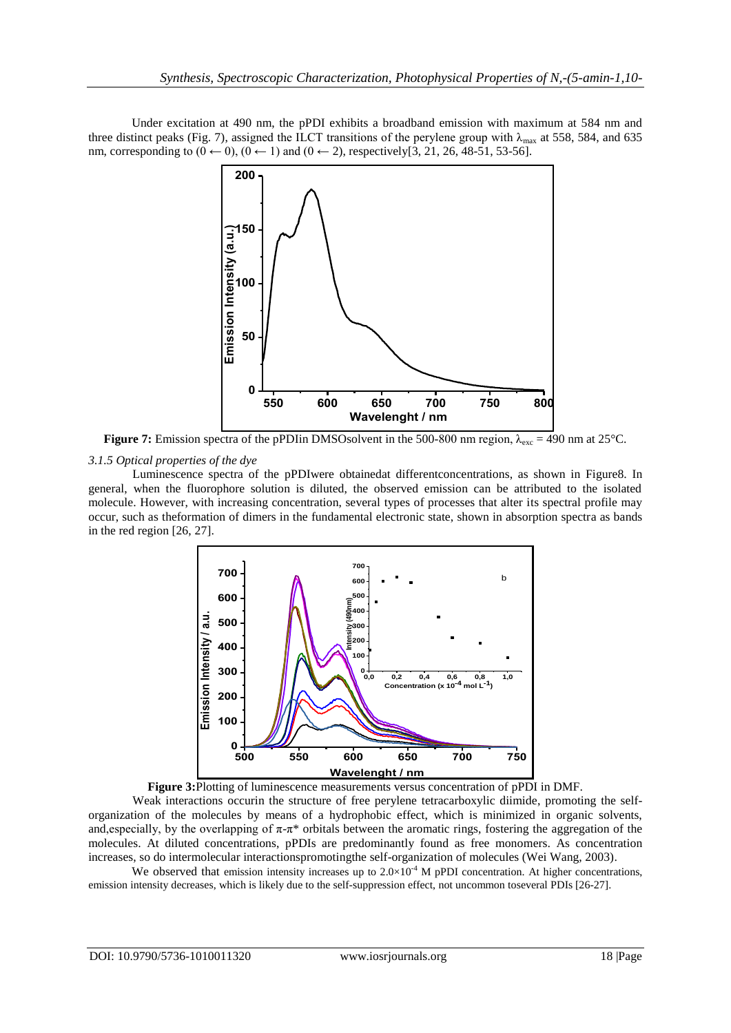Under excitation at 490 nm, the pPDI exhibits a broadband emission with maximum at 584 nm and three distinct peaks (Fig. 7), assigned the ILCT transitions of the perylene group with  $\lambda_{\text{max}}$  at 558, 584, and 635 nm, corresponding to  $(0 \leftarrow 0)$ ,  $(0 \leftarrow 1)$  and  $(0 \leftarrow 2)$ , respectively[3, 21, 26, 48-51, 53-56].



**Figure 7:** Emission spectra of the pPDIin DMSOsolvent in the 500-800 nm region,  $\lambda_{\rm exc} = 490$  nm at 25°C.

# *3.1.5 Optical properties of the dye*

Luminescence spectra of the pPDIwere obtainedat differentconcentrations, as shown in Figure8. In general, when the fluorophore solution is diluted, the observed emission can be attributed to the isolated molecule. However, with increasing concentration, several types of processes that alter its spectral profile may occur, such as theformation of dimers in the fundamental electronic state, shown in absorption spectra as bands in the red region [26, 27].





Weak interactions occurin the structure of free perylene tetracarboxylic diimide, promoting the selforganization of the molecules by means of a hydrophobic effect, which is minimized in organic solvents, and, especially, by the overlapping of  $\pi$ - $\pi$ \* orbitals between the aromatic rings, fostering the aggregation of the molecules. At diluted concentrations, pPDIs are predominantly found as free monomers. As concentration increases, so do intermolecular interactionspromotingthe self-organization of molecules (Wei Wang, 2003).

We observed that emission intensity increases up to  $2.0 \times 10^{-4}$  M pPDI concentration. At higher concentrations, emission intensity decreases, which is likely due to the self-suppression effect, not uncommon toseveral PDIs [26-27].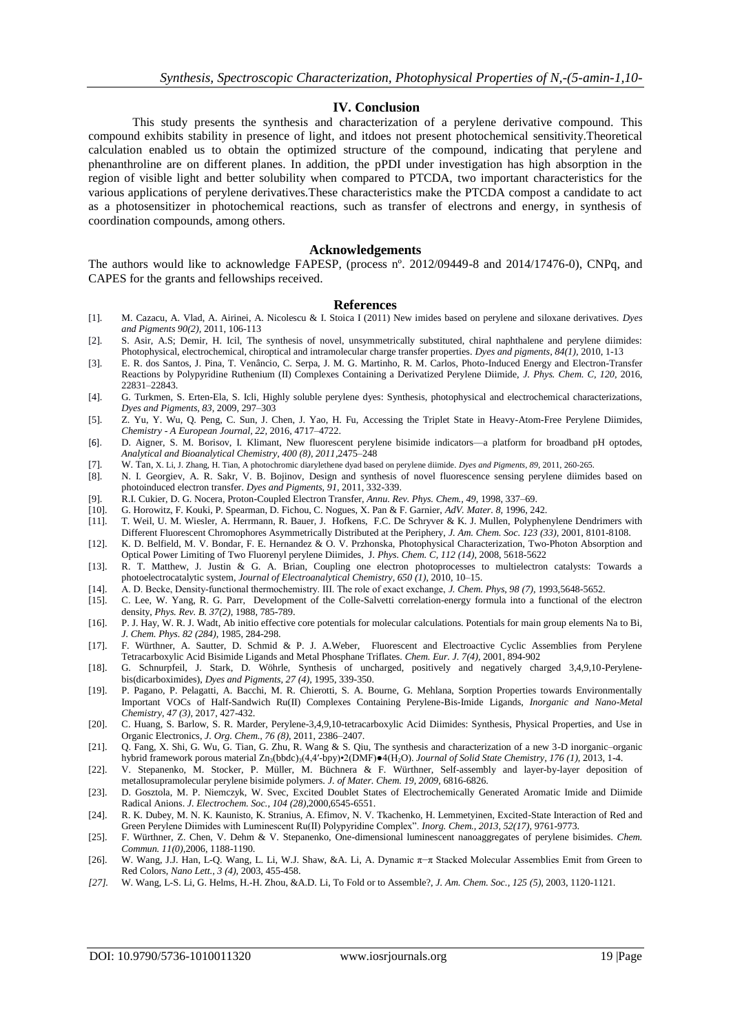#### **IV. Conclusion**

This study presents the synthesis and characterization of a perylene derivative compound. This compound exhibits stability in presence of light, and itdoes not present photochemical sensitivity.Theoretical calculation enabled us to obtain the optimized structure of the compound, indicating that perylene and phenanthroline are on different planes. In addition, the pPDI under investigation has high absorption in the region of visible light and better solubility when compared to PTCDA, two important characteristics for the various applications of perylene derivatives.These characteristics make the PTCDA compost a candidate to act as a photosensitizer in photochemical reactions, such as transfer of electrons and energy, in synthesis of coordination compounds, among others.

#### **Acknowledgements**

The authors would like to acknowledge FAPESP, (process nº. 2012/09449-8 and 2014/17476-0), CNPq, and CAPES for the grants and fellowships received.

#### **References**

- [1]. M. Cazacu, A. Vlad, A. Airinei, A. Nicolescu & I. Stoica I (2011) New imides based on perylene and siloxane derivatives. *Dyes and Pigments 90(2),* 2011, 106-113
- [2]. S. Asir, A.S; Demir, H. Icil, The synthesis of novel, unsymmetrically substituted, chiral naphthalene and perylene diimides: Photophysical, electrochemical, chiroptical and intramolecular charge transfer properties. *Dyes and pigments, 84(1),* 2010, 1-13
- [3]. E. R. dos Santos, J. Pina, T. Venâncio, C. Serpa, J. M. G. Martinho, R. M. Carlos, Photo-Induced Energy and Electron-Transfer Reactions by Polypyridine Ruthenium (II) Complexes Containing a Derivatized Perylene Diimide, *J. Phys. Chem. C, 120*, 2016, 22831–22843.
- [4]. G. Turkmen, S. Erten-Ela, S. Icli, Highly soluble perylene dyes: Synthesis, photophysical and electrochemical characterizations, *Dyes and Pigments, 83,* 2009, 297–303
- [5]. Z. Yu, Y. Wu, Q. Peng, C. Sun, J. Chen, J. Yao, H. Fu, Accessing the Triplet State in Heavy-Atom-Free Perylene Diimides, *Chemistry - A European Journal, 22,* 2016*,* 4717–4722.
- [6]. D. Aigner, S. M. Borisov, I. Klimant, New fluorescent perylene bisimide indicators—a platform for broadband pH optodes, *Analytical and Bioanalytical Chemistry, 400 (8), 2011*,2475–248
- [7]. W. Tan, X. Li, J. Zhang, H. Tian, A photochromic diarylethene dyad based on perylene diimide. *Dyes and Pigments, 89,* 2011, 260-265.
- [8]. N. I. Georgiev, A. R. Sakr, V. B. Bojinov, Design and synthesis of novel fluorescence sensing perylene diimides based on photoinduced electron transfer. *Dyes and Pigments, 91,* 2011, 332-339.
- [9]. R.I. Cukier, D. G. Nocera, Proton-Coupled Electron Transfer, *Annu. Rev. Phys. Chem., 49*, 1998, 337–69. [10]. G. Horowitz, F. Kouki, P. Spearman, D. Fichou, C. Nogues, X. Pan & F. Garnier, *AdV. Mater. 8*, 1996, 24
- [10]. G. Horowitz, F. Kouki, P. Spearman, D. Fichou, C. Nogues, X. Pan & F. Garnier, *AdV. Mater. 8,* 1996, 242.
- [11]. T. Weil, U. M. Wiesler, A. Herrmann, R. Bauer, J. Hofkens, F.C. De Schryver & K. J. Mullen, Polyphenylene Dendrimers with Different Fluorescent Chromophores Asymmetrically Distributed at the Periphery, *J. Am. Chem. Soc. 123 (33),* 2001, 8101-8108.
- [12]. K. D. Belfield, M. V. Bondar, F. E. Hernandez & O. V. Przhonska, Photophysical Characterization, Two-Photon Absorption and Optical Power Limiting of Two Fluorenyl perylene Diimides, J*. Phys. Chem. C, 112 (14),* 2008, 5618-5622
- [13]. R. T. Matthew, J. Justin & G. A. Brian, Coupling one electron photoprocesses to multielectron catalysts: Towards a photoelectrocatalytic system, *Journal of Electroanalytical Chemistry, 650 (1),* 2010, 10–15.
- [14]. A. D. Becke, Density‐functional thermochemistry. III. The role of exact exchange, *J. Chem. Phys, 98 (7)*, 1993,5648-5652.
- [15]. C. Lee, W. Yang, R. G. Parr, Development of the Colle-Salvetti correlation-energy formula into a functional of the electron density, *Phys. Rev. B. 37(2)*, 1988, 785-789.
- [16]. P. J. Hay, W. R. J. Wadt, Ab initio effective core potentials for molecular calculations. Potentials for main group elements Na to Bi, *J. Chem. Phys. 82 (284),* 1985, 284-298.
- [17]. F. Würthner, A. Sautter, D. Schmid & P. J. A.Weber, Fluorescent and Electroactive Cyclic Assemblies from Perylene Tetracarboxylic Acid Bisimide Ligands and Metal Phosphane Triflates. *Chem. Eur. J. 7(4),* 2001, 894-902
- [18]. G. Schnurpfeil, J. Stark, D. Wöhrle, Synthesis of uncharged, positively and negatively charged 3,4,9,10-Perylenebis(dicarboximides), *Dyes and Pigments, 27 (4),* 1995, 339-350.
- [19]. P. Pagano, P. Pelagatti, A. Bacchi, M. R. Chierotti, S. A. Bourne, G. Mehlana, Sorption Properties towards Environmentally Important VOCs of Half-Sandwich Ru(II) Complexes Containing Perylene-Bis-Imide Ligands, *Inorganic and Nano-Metal Chemistry, 47 (3),* 2017, 427-432.
- [20]. C. Huang, S. Barlow, S. R. Marder, Perylene-3,4,9,10-tetracarboxylic Acid Diimides: Synthesis, Physical Properties, and Use in Organic Electronics, *J. Org. Chem., 76 (8)*, 2011, 2386–2407.
- [21]. Q. Fang, X. Shi, G. Wu, G. Tian, G. Zhu, R. Wang & S. Qiu, The synthesis and characterization of a new 3-D inorganic–organic hybrid framework porous material Zn3(bbdc)3(4,4′-bpy)•2(DMF)●4(H2O). *Journal of Solid State Chemistry, 176 (1),* 2013, 1-4.
- [22]. V. Stepanenko, M. Stocker, P. Müller, M. Büchnera & F. Würthner, Self-assembly and layer-by-layer deposition of metallosupramolecular perylene bisimide polymers. *J. of Mater. Chem. 19, 2009,* 6816-6826.
- [23]. D. Gosztola, M. P. Niemczyk, W. Svec, Excited Doublet States of Electrochemically Generated Aromatic Imide and Diimide Radical Anions. *J. Electrochem. Soc., 104 (28),*2000,6545-6551.
- [24]. R. K. Dubey, M. N. K. Kaunisto, K. Stranius, A. Efimov, N. V. Tkachenko, H. Lemmetyinen, Excited-State Interaction of Red and Green Perylene Diimides with Luminescent Ru(II) Polypyridine Complex". *Inorg. Chem., 2013, 52(17), 9761-9773.*
- [25]. F. Würthner, Z. Chen, V. Dehm & V. Stepanenko, One-dimensional luminescent nanoaggregates of perylene bisimides. *Chem. Commun. 11(0),*2006, 1188-1190.
- [26]. W. Wang, J.J. Han, L-Q. Wang, L. Li, W.J. Shaw, &A. Li, A. Dynamic π−π Stacked Molecular Assemblies Emit from Green to Red Colors, *Nano Lett., 3 (4),* 2003, 455-458.
- *[27].* W. Wang, L-S. Li, G. Helms, H.-H. Zhou, &A.D. Li, To Fold or to Assemble?, *J. Am. Chem. Soc., 125 (5),* 2003, 1120-1121.